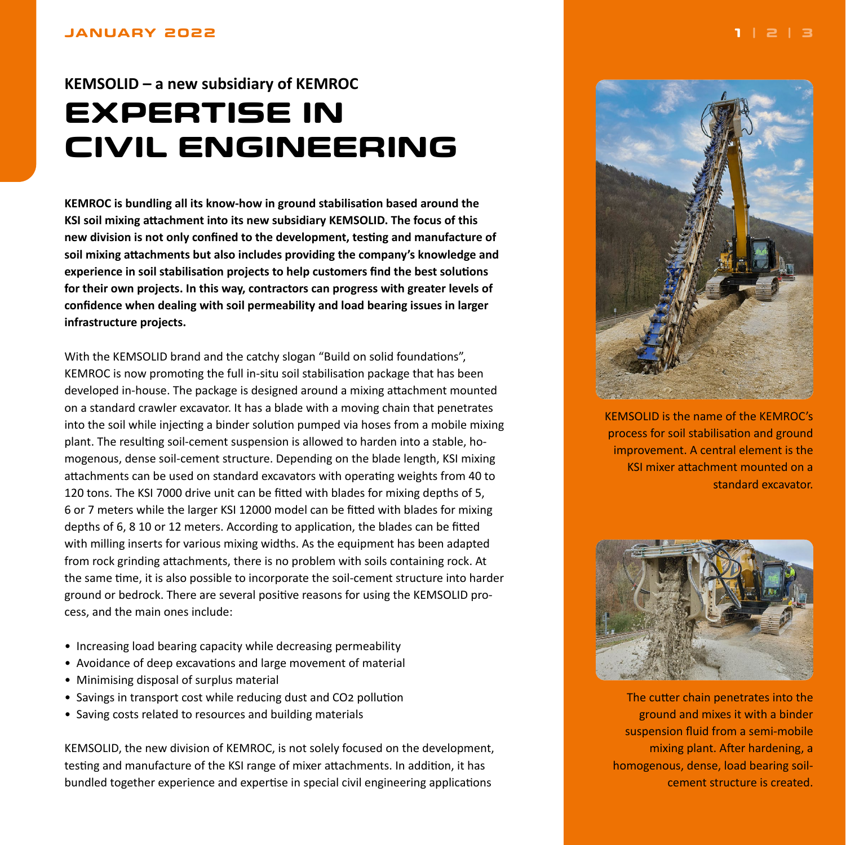#### <span id="page-0-0"></span>**JANUARY 2022**

# **KEMSOLID – a new subsidiary of KEMROC EXPERTISE IN CIVIL ENGINEERING**

**KEMROC is bundling all its know-how in ground stabilisation based around the KSI soil mixing attachment into its new subsidiary KEMSOLID. The focus of this new division is not only confined to the development, testing and manufacture of soil mixing attachments but also includes providing the company's knowledge and experience in soil stabilisation projects to help customers find the best solutions for their own projects. In this way, contractors can progress with greater levels of confidence when dealing with soil permeability and load bearing issues in larger infrastructure projects.**

With the KEMSOLID brand and the catchy slogan "Build on solid foundations", KEMROC is now promoting the full in-situ soil stabilisation package that has been developed in-house. The package is designed around a mixing attachment mounted on a standard crawler excavator. It has a blade with a moving chain that penetrates into the soil while injecting a binder solution pumped via hoses from a mobile mixing plant. The resulting soil-cement suspension is allowed to harden into a stable, homogenous, dense soil-cement structure. Depending on the blade length, KSI mixing attachments can be used on standard excavators with operating weights from 40 to 120 tons. The KSI 7000 drive unit can be fitted with blades for mixing depths of 5, 6 or 7 meters while the larger KSI 12000 model can be fitted with blades for mixing depths of 6, 8 10 or 12 meters. According to application, the blades can be fitted with milling inserts for various mixing widths. As the equipment has been adapted from rock grinding attachments, there is no problem with soils containing rock. At the same time, it is also possible to incorporate the soil-cement structure into harder ground or bedrock. There are several positive reasons for using the KEMSOLID process, and the main ones include:

- Increasing load bearing capacity while decreasing permeability
- Avoidance of deep excavations and large movement of material
- Minimising disposal of surplus material
- Savings in transport cost while reducing dust and CO2 pollution
- Saving costs related to resources and building materials

KEMSOLID, the new division of KEMROC, is not solely focused on the development, testing and manufacture of the KSI range of mixer attachments. In addition, it has bundled together experience and expertise in special civil engineering applications



KEMSOLID is the name of the KEMROC's process for soil stabilisation and ground improvement. A central element is the KSI mixer attachment mounted on a standard excavator.



The cutter chain penetrates into the ground and mixes it with a binder suspension fluid from a semi-mobile mixing plant. After hardening, a homogenous, dense, load bearing soilcement structure is created.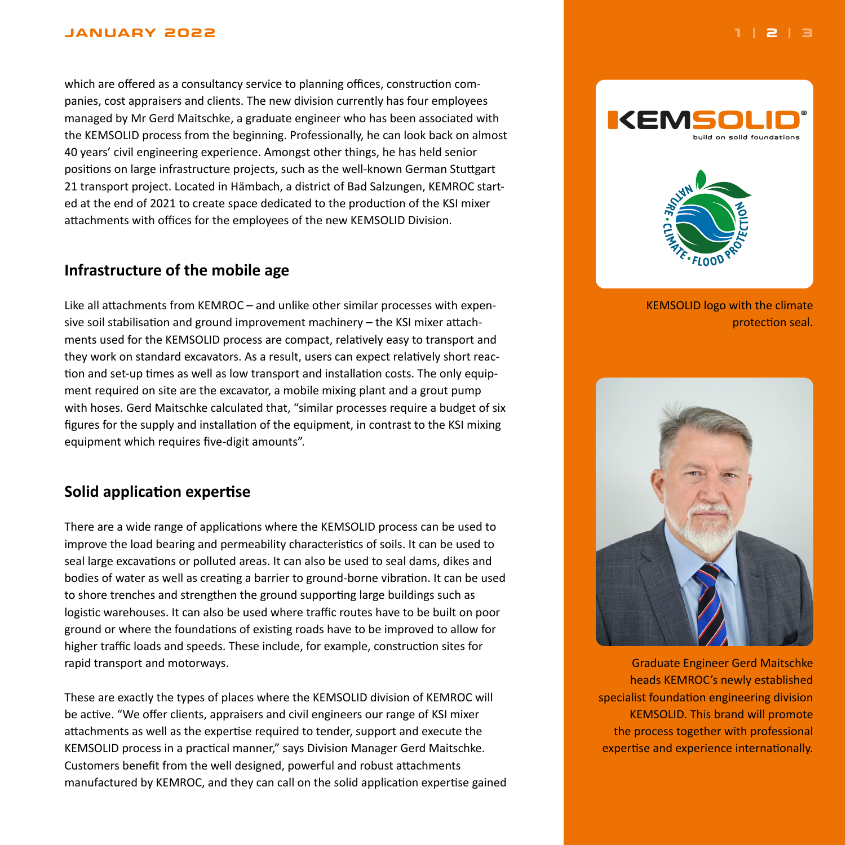#### <span id="page-1-0"></span>**JANUARY 2022 [1](#page-0-0) | 2 | [3](#page-2-0)**

which are offered as a consultancy service to planning offices, construction companies, cost appraisers and clients. The new division currently has four employees managed by Mr Gerd Maitschke, a graduate engineer who has been associated with the KEMSOLID process from the beginning. Professionally, he can look back on almost 40 years' civil engineering experience. Amongst other things, he has held senior positions on large infrastructure projects, such as the well-known German Stuttgart 21 transport project. Located in Hämbach, a district of Bad Salzungen, KEMROC started at the end of 2021 to create space dedicated to the production of the KSI mixer attachments with offices for the employees of the new KEMSOLID Division.

## **Infrastructure of the mobile age**

Like all attachments from KEMROC – and unlike other similar processes with expensive soil stabilisation and ground improvement machinery – the KSI mixer attachments used for the KEMSOLID process are compact, relatively easy to transport and they work on standard excavators. As a result, users can expect relatively short reaction and set-up times as well as low transport and installation costs. The only equipment required on site are the excavator, a mobile mixing plant and a grout pump with hoses. Gerd Maitschke calculated that, "similar processes require a budget of six figures for the supply and installation of the equipment, in contrast to the KSI mixing equipment which requires five-digit amounts".

## **Solid application expertise**

There are a wide range of applications where the KEMSOLID process can be used to improve the load bearing and permeability characteristics of soils. It can be used to seal large excavations or polluted areas. It can also be used to seal dams, dikes and bodies of water as well as creating a barrier to ground-borne vibration. It can be used to shore trenches and strengthen the ground supporting large buildings such as logistic warehouses. It can also be used where traffic routes have to be built on poor ground or where the foundations of existing roads have to be improved to allow for higher traffic loads and speeds. These include, for example, construction sites for rapid transport and motorways.

These are exactly the types of places where the KEMSOLID division of KEMROC will be active. "We offer clients, appraisers and civil engineers our range of KSI mixer attachments as well as the expertise required to tender, support and execute the KEMSOLID process in a practical manner," says Division Manager Gerd Maitschke. Customers benefit from the well designed, powerful and robust attachments manufactured by KEMROC, and they can call on the solid application expertise gained



**IKEM** 

## KEMSOLID logo with the climate protection seal.



Graduate Engineer Gerd Maitschke heads KEMROC's newly established specialist foundation engineering division KEMSOLID. This brand will promote the process together with professional expertise and experience internationally.